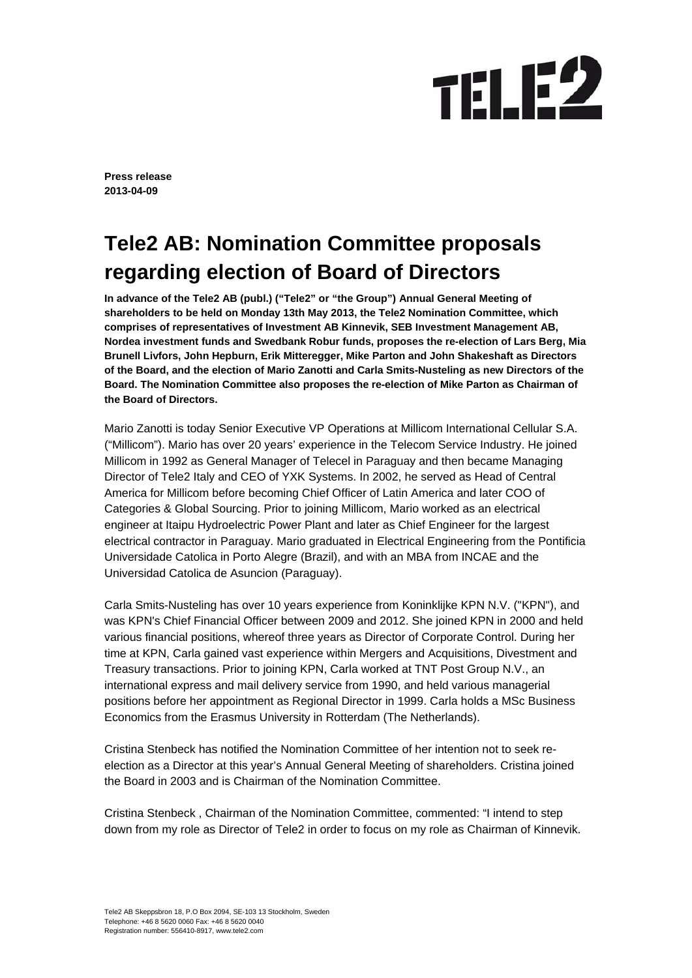## **TELE2**

**Press release 2013-04-09** 

## **Tele2 AB: Nomination Committee proposals regarding election of Board of Directors**

**In advance of the Tele2 AB (publ.) ("Tele2" or "the Group") Annual General Meeting of shareholders to be held on Monday 13th May 2013, the Tele2 Nomination Committee, which comprises of representatives of Investment AB Kinnevik, SEB Investment Management AB, Nordea investment funds and Swedbank Robur funds, proposes the re-election of Lars Berg, Mia Brunell Livfors, John Hepburn, Erik Mitteregger, Mike Parton and John Shakeshaft as Directors of the Board, and the election of Mario Zanotti and Carla Smits-Nusteling as new Directors of the Board. The Nomination Committee also proposes the re-election of Mike Parton as Chairman of the Board of Directors.** 

Mario Zanotti is today Senior Executive VP Operations at Millicom International Cellular S.A. ("Millicom"). Mario has over 20 years' experience in the Telecom Service Industry. He joined Millicom in 1992 as General Manager of Telecel in Paraguay and then became Managing Director of Tele2 Italy and CEO of YXK Systems. In 2002, he served as Head of Central America for Millicom before becoming Chief Officer of Latin America and later COO of Categories & Global Sourcing. Prior to joining Millicom, Mario worked as an electrical engineer at Itaipu Hydroelectric Power Plant and later as Chief Engineer for the largest electrical contractor in Paraguay. Mario graduated in Electrical Engineering from the Pontificia Universidade Catolica in Porto Alegre (Brazil), and with an MBA from INCAE and the Universidad Catolica de Asuncion (Paraguay).

Carla Smits-Nusteling has over 10 years experience from Koninklijke KPN N.V. ("KPN"), and was KPN's Chief Financial Officer between 2009 and 2012. She joined KPN in 2000 and held various financial positions, whereof three years as Director of Corporate Control. During her time at KPN, Carla gained vast experience within Mergers and Acquisitions, Divestment and Treasury transactions. Prior to joining KPN, Carla worked at TNT Post Group N.V., an international express and mail delivery service from 1990, and held various managerial positions before her appointment as Regional Director in 1999. Carla holds a MSc Business Economics from the Erasmus University in Rotterdam (The Netherlands).

Cristina Stenbeck has notified the Nomination Committee of her intention not to seek reelection as a Director at this year's Annual General Meeting of shareholders. Cristina joined the Board in 2003 and is Chairman of the Nomination Committee.

Cristina Stenbeck , Chairman of the Nomination Committee, commented: "I intend to step down from my role as Director of Tele2 in order to focus on my role as Chairman of Kinnevik.